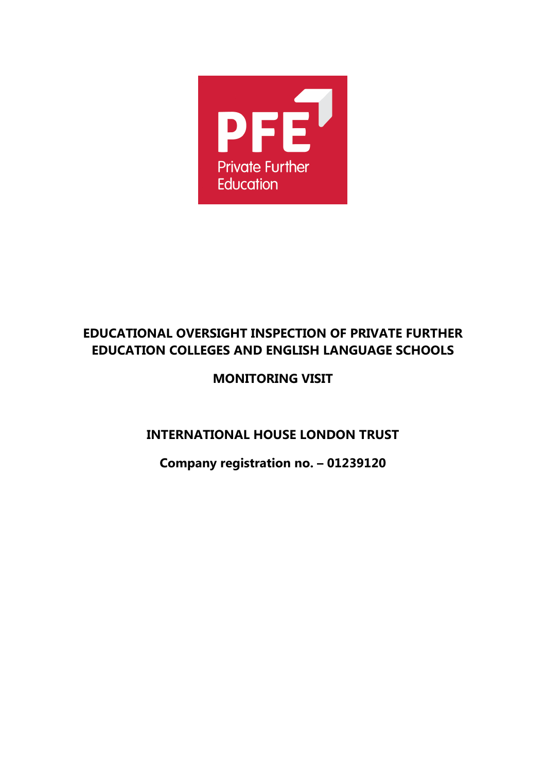

# **EDUCATIONAL OVERSIGHT INSPECTION OF PRIVATE FURTHER EDUCATION COLLEGES AND ENGLISH LANGUAGE SCHOOLS**

# **MONITORING VISIT**

# **INTERNATIONAL HOUSE LONDON TRUST**

**Company registration no. – 01239120**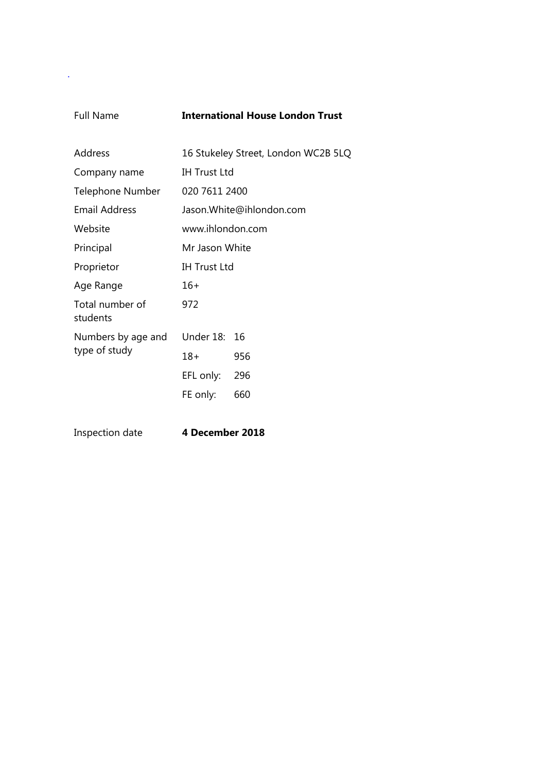.

#### Full Name **International House London Trust**

| Address                     |                          | 16 Stukeley Street, London WC2B 5LQ |
|-----------------------------|--------------------------|-------------------------------------|
| Company name                | <b>IH Trust Ltd</b>      |                                     |
| Telephone Number            | 020 7611 2400            |                                     |
| Email Address               | Jason.White@ihlondon.com |                                     |
| Website                     | www.ihlondon.com         |                                     |
| Principal                   | Mr Jason White           |                                     |
| Proprietor                  | <b>IH Trust Ltd</b>      |                                     |
| Age Range                   | $16+$                    |                                     |
| Total number of<br>students | 972                      |                                     |
| Numbers by age and          | Under 18:                | 16                                  |
| type of study               | $18+$                    | 956                                 |
|                             | EFL only:                | 296                                 |
|                             | FE only:                 | 660                                 |
|                             |                          |                                     |

Inspection date **4 December 2018**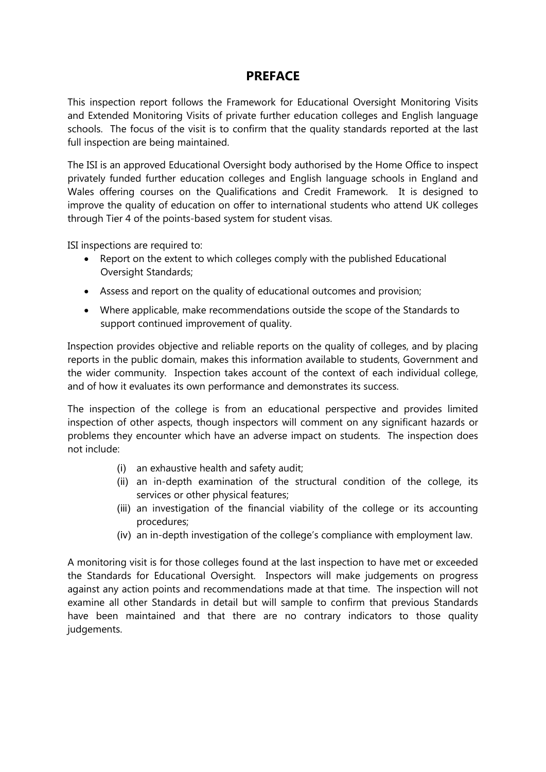#### **PREFACE**

This inspection report follows the Framework for Educational Oversight Monitoring Visits and Extended Monitoring Visits of private further education colleges and English language schools. The focus of the visit is to confirm that the quality standards reported at the last full inspection are being maintained.

The ISI is an approved Educational Oversight body authorised by the Home Office to inspect privately funded further education colleges and English language schools in England and Wales offering courses on the Qualifications and Credit Framework. It is designed to improve the quality of education on offer to international students who attend UK colleges through Tier 4 of the points-based system for student visas.

ISI inspections are required to:

- Report on the extent to which colleges comply with the published Educational Oversight Standards;
- Assess and report on the quality of educational outcomes and provision;
- Where applicable, make recommendations outside the scope of the Standards to support continued improvement of quality.

Inspection provides objective and reliable reports on the quality of colleges, and by placing reports in the public domain, makes this information available to students, Government and the wider community. Inspection takes account of the context of each individual college, and of how it evaluates its own performance and demonstrates its success.

The inspection of the college is from an educational perspective and provides limited inspection of other aspects, though inspectors will comment on any significant hazards or problems they encounter which have an adverse impact on students. The inspection does not include:

- (i) an exhaustive health and safety audit;
- (ii) an in-depth examination of the structural condition of the college, its services or other physical features;
- (iii) an investigation of the financial viability of the college or its accounting procedures;
- (iv) an in-depth investigation of the college's compliance with employment law.

A monitoring visit is for those colleges found at the last inspection to have met or exceeded the Standards for Educational Oversight. Inspectors will make judgements on progress against any action points and recommendations made at that time. The inspection will not examine all other Standards in detail but will sample to confirm that previous Standards have been maintained and that there are no contrary indicators to those quality judgements.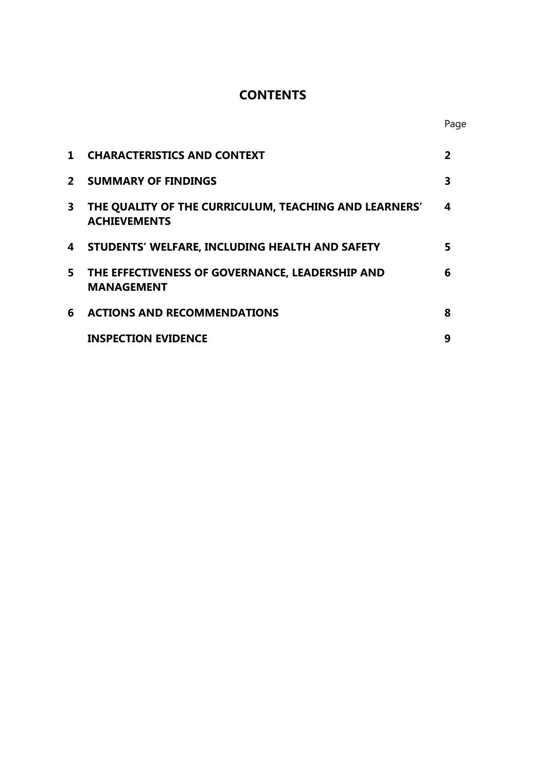# **CONTENTS**

| $\mathbf 1$ | <b>CHARACTERISTICS AND CONTEXT</b>                                           |   |
|-------------|------------------------------------------------------------------------------|---|
| $2^{\circ}$ | <b>SUMMARY OF FINDINGS</b>                                                   | 3 |
| 3           | THE QUALITY OF THE CURRICULUM, TEACHING AND LEARNERS'<br><b>ACHIEVEMENTS</b> | 4 |
| 4           | STUDENTS' WELFARE, INCLUDING HEALTH AND SAFETY                               | 5 |
| 5.          | THE EFFECTIVENESS OF GOVERNANCE, LEADERSHIP AND<br><b>MANAGEMENT</b>         | 6 |
| 6           | <b>ACTIONS AND RECOMMENDATIONS</b>                                           | 8 |
|             | <b>INSPECTION EVIDENCE</b>                                                   | 9 |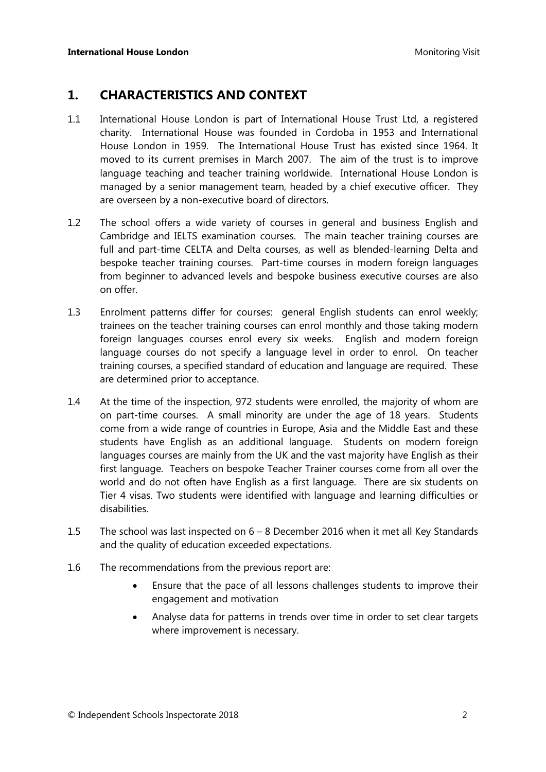### **1. CHARACTERISTICS AND CONTEXT**

- 1.1 International House London is part of International House Trust Ltd, a registered charity. International House was founded in Cordoba in 1953 and International House London in 1959. The International House Trust has existed since 1964. It moved to its current premises in March 2007. The aim of the trust is to improve language teaching and teacher training worldwide. International House London is managed by a senior management team, headed by a chief executive officer. They are overseen by a non-executive board of directors.
- 1.2 The school offers a wide variety of courses in general and business English and Cambridge and IELTS examination courses. The main teacher training courses are full and part-time CELTA and Delta courses, as well as blended-learning Delta and bespoke teacher training courses. Part-time courses in modern foreign languages from beginner to advanced levels and bespoke business executive courses are also on offer.
- 1.3 Enrolment patterns differ for courses: general English students can enrol weekly; trainees on the teacher training courses can enrol monthly and those taking modern foreign languages courses enrol every six weeks. English and modern foreign language courses do not specify a language level in order to enrol. On teacher training courses, a specified standard of education and language are required. These are determined prior to acceptance.
- 1.4 At the time of the inspection, 972 students were enrolled, the majority of whom are on part-time courses. A small minority are under the age of 18 years. Students come from a wide range of countries in Europe, Asia and the Middle East and these students have English as an additional language. Students on modern foreign languages courses are mainly from the UK and the vast majority have English as their first language. Teachers on bespoke Teacher Trainer courses come from all over the world and do not often have English as a first language. There are six students on Tier 4 visas. Two students were identified with language and learning difficulties or disabilities.
- 1.5 The school was last inspected on 6 8 December 2016 when it met all Key Standards and the quality of education exceeded expectations.
- 1.6 The recommendations from the previous report are:
	- Ensure that the pace of all lessons challenges students to improve their engagement and motivation
	- Analyse data for patterns in trends over time in order to set clear targets where improvement is necessary.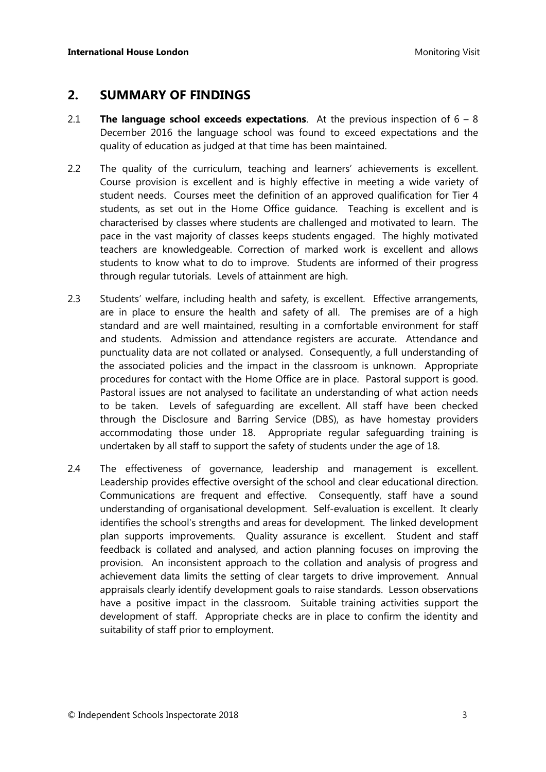#### **2. SUMMARY OF FINDINGS**

- 2.1 **The language school exceeds expectations**. At the previous inspection of 6 8 December 2016 the language school was found to exceed expectations and the quality of education as judged at that time has been maintained.
- 2.2 The quality of the curriculum, teaching and learners' achievements is excellent. Course provision is excellent and is highly effective in meeting a wide variety of student needs. Courses meet the definition of an approved qualification for Tier 4 students, as set out in the Home Office guidance. Teaching is excellent and is characterised by classes where students are challenged and motivated to learn. The pace in the vast majority of classes keeps students engaged. The highly motivated teachers are knowledgeable. Correction of marked work is excellent and allows students to know what to do to improve. Students are informed of their progress through regular tutorials. Levels of attainment are high.
- 2.3 Students' welfare, including health and safety, is excellent. Effective arrangements, are in place to ensure the health and safety of all. The premises are of a high standard and are well maintained, resulting in a comfortable environment for staff and students. Admission and attendance registers are accurate. Attendance and punctuality data are not collated or analysed. Consequently, a full understanding of the associated policies and the impact in the classroom is unknown. Appropriate procedures for contact with the Home Office are in place. Pastoral support is good. Pastoral issues are not analysed to facilitate an understanding of what action needs to be taken. Levels of safeguarding are excellent. All staff have been checked through the Disclosure and Barring Service (DBS), as have homestay providers accommodating those under 18. Appropriate regular safeguarding training is undertaken by all staff to support the safety of students under the age of 18.
- 2.4 The effectiveness of governance, leadership and management is excellent. Leadership provides effective oversight of the school and clear educational direction. Communications are frequent and effective. Consequently, staff have a sound understanding of organisational development. Self-evaluation is excellent. It clearly identifies the school's strengths and areas for development. The linked development plan supports improvements. Quality assurance is excellent. Student and staff feedback is collated and analysed, and action planning focuses on improving the provision. An inconsistent approach to the collation and analysis of progress and achievement data limits the setting of clear targets to drive improvement. Annual appraisals clearly identify development goals to raise standards. Lesson observations have a positive impact in the classroom. Suitable training activities support the development of staff. Appropriate checks are in place to confirm the identity and suitability of staff prior to employment.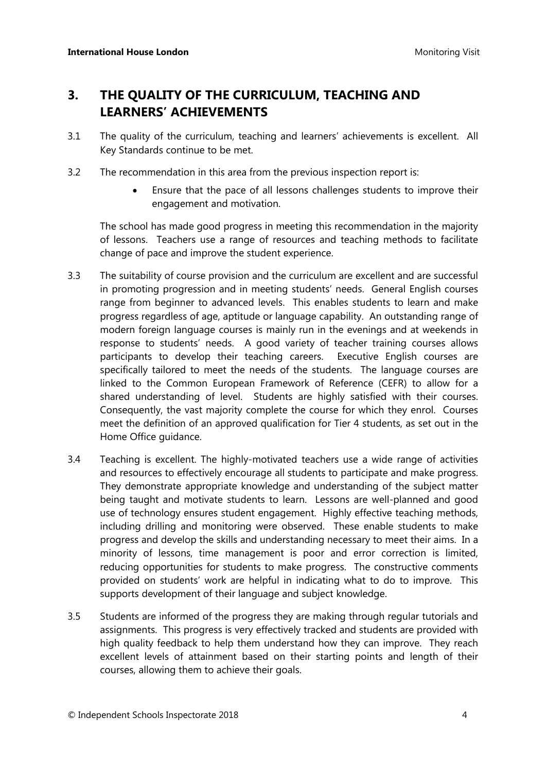# **3. THE QUALITY OF THE CURRICULUM, TEACHING AND LEARNERS' ACHIEVEMENTS**

- 3.1 The quality of the curriculum, teaching and learners' achievements is excellent. All Key Standards continue to be met.
- 3.2 The recommendation in this area from the previous inspection report is:
	- Ensure that the pace of all lessons challenges students to improve their engagement and motivation.

The school has made good progress in meeting this recommendation in the majority of lessons. Teachers use a range of resources and teaching methods to facilitate change of pace and improve the student experience.

- 3.3 The suitability of course provision and the curriculum are excellent and are successful in promoting progression and in meeting students' needs. General English courses range from beginner to advanced levels. This enables students to learn and make progress regardless of age, aptitude or language capability. An outstanding range of modern foreign language courses is mainly run in the evenings and at weekends in response to students' needs. A good variety of teacher training courses allows participants to develop their teaching careers. Executive English courses are specifically tailored to meet the needs of the students. The language courses are linked to the Common European Framework of Reference (CEFR) to allow for a shared understanding of level. Students are highly satisfied with their courses. Consequently, the vast majority complete the course for which they enrol. Courses meet the definition of an approved qualification for Tier 4 students, as set out in the Home Office guidance.
- 3.4 Teaching is excellent. The highly-motivated teachers use a wide range of activities and resources to effectively encourage all students to participate and make progress. They demonstrate appropriate knowledge and understanding of the subject matter being taught and motivate students to learn. Lessons are well-planned and good use of technology ensures student engagement. Highly effective teaching methods, including drilling and monitoring were observed. These enable students to make progress and develop the skills and understanding necessary to meet their aims. In a minority of lessons, time management is poor and error correction is limited, reducing opportunities for students to make progress. The constructive comments provided on students' work are helpful in indicating what to do to improve. This supports development of their language and subject knowledge.
- 3.5 Students are informed of the progress they are making through regular tutorials and assignments. This progress is very effectively tracked and students are provided with high quality feedback to help them understand how they can improve. They reach excellent levels of attainment based on their starting points and length of their courses, allowing them to achieve their goals.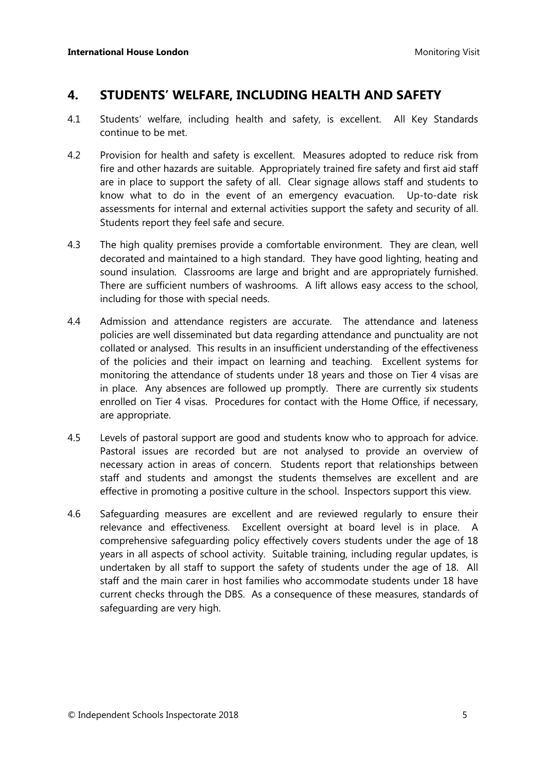#### **4. STUDENTS' WELFARE, INCLUDING HEALTH AND SAFETY**

- 4.1 Students' welfare, including health and safety, is excellent. All Key Standards continue to be met.
- 4.2 Provision for health and safety is excellent. Measures adopted to reduce risk from fire and other hazards are suitable. Appropriately trained fire safety and first aid staff are in place to support the safety of all. Clear signage allows staff and students to know what to do in the event of an emergency evacuation. Up-to-date risk assessments for internal and external activities support the safety and security of all. Students report they feel safe and secure.
- 4.3 The high quality premises provide a comfortable environment. They are clean, well decorated and maintained to a high standard. They have good lighting, heating and sound insulation. Classrooms are large and bright and are appropriately furnished. There are sufficient numbers of washrooms. A lift allows easy access to the school, including for those with special needs.
- 4.4 Admission and attendance registers are accurate. The attendance and lateness policies are well disseminated but data regarding attendance and punctuality are not collated or analysed. This results in an insufficient understanding of the effectiveness of the policies and their impact on learning and teaching. Excellent systems for monitoring the attendance of students under 18 years and those on Tier 4 visas are in place. Any absences are followed up promptly. There are currently six students enrolled on Tier 4 visas. Procedures for contact with the Home Office, if necessary, are appropriate.
- 4.5 Levels of pastoral support are good and students know who to approach for advice. Pastoral issues are recorded but are not analysed to provide an overview of necessary action in areas of concern. Students report that relationships between staff and students and amongst the students themselves are excellent and are effective in promoting a positive culture in the school. Inspectors support this view.
- 4.6 Safeguarding measures are excellent and are reviewed regularly to ensure their relevance and effectiveness. Excellent oversight at board level is in place. A comprehensive safeguarding policy effectively covers students under the age of 18 years in all aspects of school activity. Suitable training, including regular updates, is undertaken by all staff to support the safety of students under the age of 18. All staff and the main carer in host families who accommodate students under 18 have current checks through the DBS. As a consequence of these measures, standards of safeguarding are very high.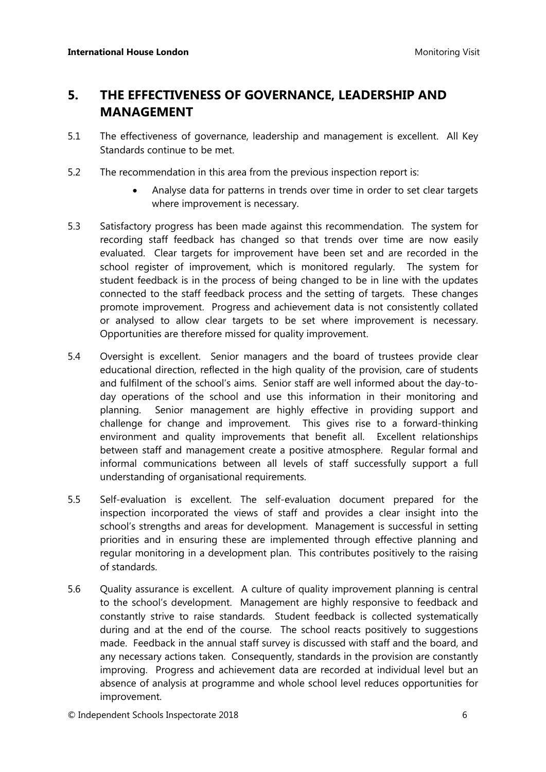# **5. THE EFFECTIVENESS OF GOVERNANCE, LEADERSHIP AND MANAGEMENT**

- 5.1 The effectiveness of governance, leadership and management is excellent. All Key Standards continue to be met.
- 5.2 The recommendation in this area from the previous inspection report is:
	- Analyse data for patterns in trends over time in order to set clear targets where improvement is necessary.
- 5.3 Satisfactory progress has been made against this recommendation. The system for recording staff feedback has changed so that trends over time are now easily evaluated. Clear targets for improvement have been set and are recorded in the school register of improvement, which is monitored regularly. The system for student feedback is in the process of being changed to be in line with the updates connected to the staff feedback process and the setting of targets. These changes promote improvement. Progress and achievement data is not consistently collated or analysed to allow clear targets to be set where improvement is necessary. Opportunities are therefore missed for quality improvement.
- 5.4 Oversight is excellent. Senior managers and the board of trustees provide clear educational direction, reflected in the high quality of the provision, care of students and fulfilment of the school's aims. Senior staff are well informed about the day-today operations of the school and use this information in their monitoring and planning. Senior management are highly effective in providing support and challenge for change and improvement. This gives rise to a forward-thinking environment and quality improvements that benefit all. Excellent relationships between staff and management create a positive atmosphere. Regular formal and informal communications between all levels of staff successfully support a full understanding of organisational requirements.
- 5.5 Self-evaluation is excellent. The self-evaluation document prepared for the inspection incorporated the views of staff and provides a clear insight into the school's strengths and areas for development. Management is successful in setting priorities and in ensuring these are implemented through effective planning and regular monitoring in a development plan. This contributes positively to the raising of standards.
- 5.6 Quality assurance is excellent. A culture of quality improvement planning is central to the school's development. Management are highly responsive to feedback and constantly strive to raise standards. Student feedback is collected systematically during and at the end of the course. The school reacts positively to suggestions made. Feedback in the annual staff survey is discussed with staff and the board, and any necessary actions taken. Consequently, standards in the provision are constantly improving. Progress and achievement data are recorded at individual level but an absence of analysis at programme and whole school level reduces opportunities for improvement.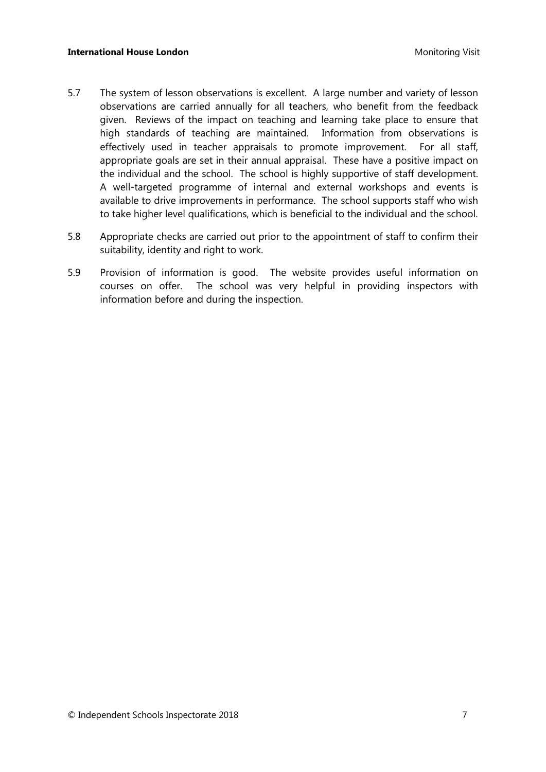#### **International House London** Monitoring Visit

- 5.7 The system of lesson observations is excellent. A large number and variety of lesson observations are carried annually for all teachers, who benefit from the feedback given. Reviews of the impact on teaching and learning take place to ensure that high standards of teaching are maintained. Information from observations is effectively used in teacher appraisals to promote improvement. For all staff, appropriate goals are set in their annual appraisal. These have a positive impact on the individual and the school. The school is highly supportive of staff development. A well-targeted programme of internal and external workshops and events is available to drive improvements in performance. The school supports staff who wish to take higher level qualifications, which is beneficial to the individual and the school.
- 5.8 Appropriate checks are carried out prior to the appointment of staff to confirm their suitability, identity and right to work.
- 5.9 Provision of information is good. The website provides useful information on courses on offer. The school was very helpful in providing inspectors with information before and during the inspection.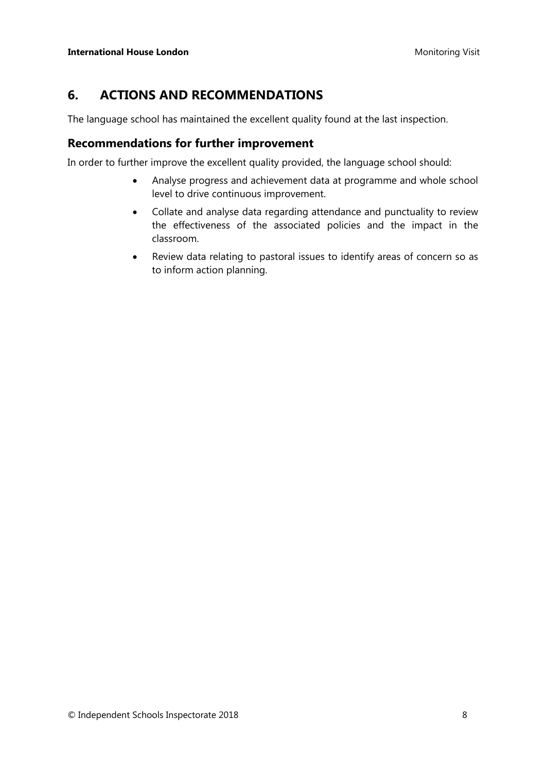# **6. ACTIONS AND RECOMMENDATIONS**

The language school has maintained the excellent quality found at the last inspection.

#### **Recommendations for further improvement**

In order to further improve the excellent quality provided, the language school should:

- Analyse progress and achievement data at programme and whole school level to drive continuous improvement.
- Collate and analyse data regarding attendance and punctuality to review the effectiveness of the associated policies and the impact in the classroom.
- Review data relating to pastoral issues to identify areas of concern so as to inform action planning.